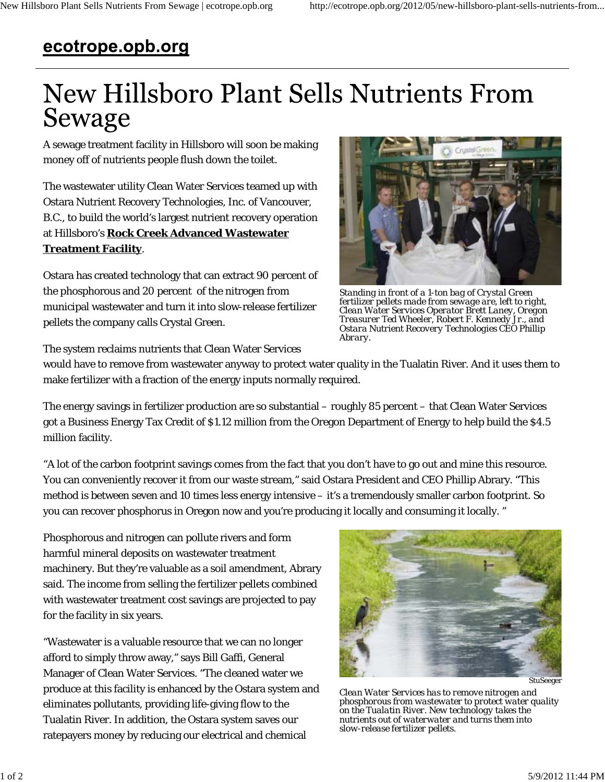## ecotrope.opb.org

## New Hillsboro Plant Sells Nutrients From Sewage

A sewage treatment facility in Hillsboro will soon be making money off of nutrients people flush down the toilet.

The wastewater utility Clean Water Services teamed up with Ostara Nutrient Recovery Technologies, Inc. of Vancouver, B.C., to build the world's largest nutrient recovery operation at Hillsboro's **Rock Creek Advanced Wastewater Treatment Facility**.

Ostara has created technology that can extract 90 percent of the phosphorous and 20 percent of the nitrogen from municipal wastewater and turn it into slow-release fertilizer pellets the company calls Crystal Green.



*Standing in front of a 1-ton bag of Crystal Green fertilizer pellets made from sewage are, left to right, Clean Water Services Operator Brett Laney, Oregon Treasurer Ted Wheeler, Robert F. Kennedy Jr., and Ostara Nutrient Recovery Technologies CEO Phillip Abrary.*

The system reclaims nutrients that Clean Water Services

would have to remove from wastewater anyway to protect water quality in the Tualatin River. And it uses them to make fertilizer with a fraction of the energy inputs normally required.

The energy savings in fertilizer production are so substantial – roughly 85 percent – that Clean Water Services got a Business Energy Tax Credit of \$1.12 million from the Oregon Department of Energy to help build the \$4.5 million facility.

"A lot of the carbon footprint savings comes from the fact that you don't have to go out and mine this resource. You can conveniently recover it from our waste stream," said Ostara President and CEO Phillip Abrary. "This method is between seven and 10 times less energy intensive – it's a tremendously smaller carbon footprint. So you can recover phosphorus in Oregon now and you're producing it locally and consuming it locally. "

Phosphorous and nitrogen can pollute rivers and form harmful mineral deposits on wastewater treatment machinery. But they're valuable as a soil amendment, Abrary said. The income from selling the fertilizer pellets combined with wastewater treatment cost savings are projected to pay for the facility in six years.

"Wastewater is a valuable resource that we can no longer afford to simply throw away," says Bill Gaffi, General Manager of Clean Water Services. "The cleaned water we produce at this facility is enhanced by the Ostara system and eliminates pollutants, providing life-giving flow to the Tualatin River. In addition, the Ostara system saves our ratepayers money by reducing our electrical and chemical



*Clean Water Services has to remove nitrogen and phosphorous from wastewater to protect water quality on the Tualatin River. New technology takes the nutrients out of waterwater and turns them into slow-release fertilizer pellets.*